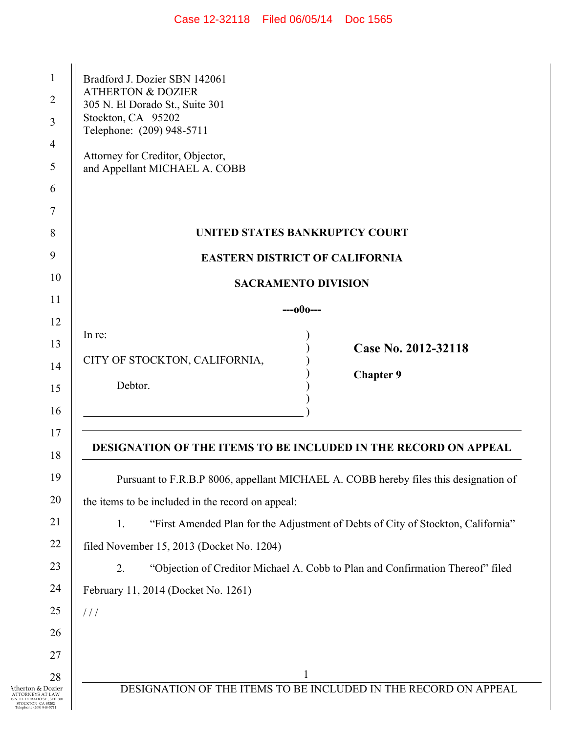| Case 12-32118 | Filed 06/05/14 | Doc 1565 |
|---------------|----------------|----------|
|---------------|----------------|----------|

| $\mathbf{1}$                                                                        | Bradford J. Dozier SBN 142061<br><b>ATHERTON &amp; DOZIER</b>                          |
|-------------------------------------------------------------------------------------|----------------------------------------------------------------------------------------|
| $\overline{2}$                                                                      | 305 N. El Dorado St., Suite 301<br>Stockton, CA 95202                                  |
| 3                                                                                   | Telephone: (209) 948-5711                                                              |
| 4                                                                                   | Attorney for Creditor, Objector,                                                       |
| 5                                                                                   | and Appellant MICHAEL A. COBB                                                          |
| 6                                                                                   |                                                                                        |
| 7                                                                                   |                                                                                        |
| 8                                                                                   | UNITED STATES BANKRUPTCY COURT                                                         |
| 9                                                                                   | <b>EASTERN DISTRICT OF CALIFORNIA</b>                                                  |
| 10                                                                                  | <b>SACRAMENTO DIVISION</b>                                                             |
| 11                                                                                  | $---000---$                                                                            |
| 12                                                                                  |                                                                                        |
| 13                                                                                  | In re:<br>Case No. 2012-32118                                                          |
| 14                                                                                  | CITY OF STOCKTON, CALIFORNIA,                                                          |
| 15                                                                                  | <b>Chapter 9</b><br>Debtor.                                                            |
| 16                                                                                  |                                                                                        |
| 17                                                                                  |                                                                                        |
| 18                                                                                  | <b>DESIGNATION OF THE ITEMS TO BE INCLUDED IN THE RECORD ON APPEAL</b>                 |
| 19                                                                                  | Pursuant to F.R.B.P 8006, appellant MICHAEL A. COBB hereby files this designation of   |
| 20                                                                                  | the items to be included in the record on appeal:                                      |
| 21                                                                                  | 1.<br>"First Amended Plan for the Adjustment of Debts of City of Stockton, California" |
| 22                                                                                  | filed November 15, 2013 (Docket No. 1204)                                              |
| 23                                                                                  | 2.<br>"Objection of Creditor Michael A. Cobb to Plan and Confirmation Thereof" filed   |
| 24                                                                                  | February 11, 2014 (Docket No. 1261)                                                    |
| 25                                                                                  | 111                                                                                    |
| 26                                                                                  |                                                                                        |
| 27                                                                                  |                                                                                        |
| 28                                                                                  | $\mathbf{1}$                                                                           |
| Atherton & Dozier<br>TORNEYS AT LAW<br>EL DORADO ST., STE. 301<br>STOCKTON CA 95202 | DESIGNATION OF THE ITEMS TO BE INCLUDED IN THE RECORD ON APPEAL                        |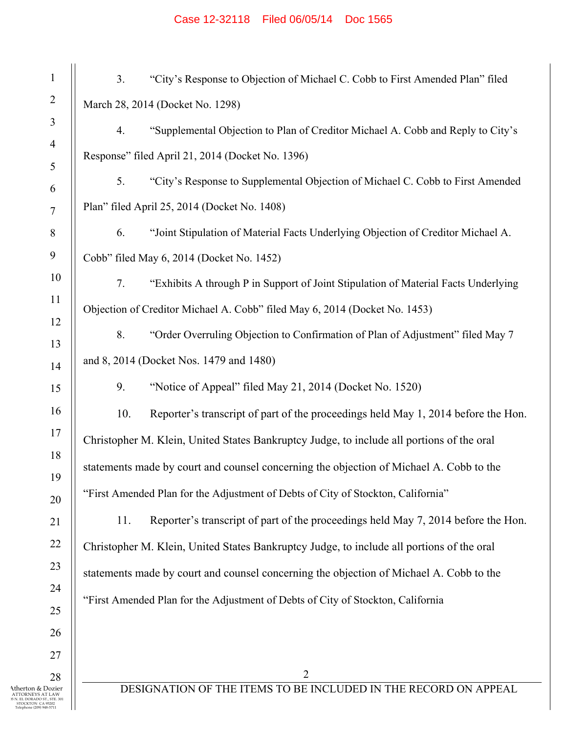## Case 12-32118 Filed 06/05/14 Doc 1565

| $\mathbf{1}$                                                             | 3.<br>"City's Response to Objection of Michael C. Cobb to First Amended Plan" filed       |
|--------------------------------------------------------------------------|-------------------------------------------------------------------------------------------|
| $\overline{2}$                                                           | March 28, 2014 (Docket No. 1298)                                                          |
| 3                                                                        | "Supplemental Objection to Plan of Creditor Michael A. Cobb and Reply to City's<br>4.     |
| $\overline{4}$                                                           | Response" filed April 21, 2014 (Docket No. 1396)                                          |
| 5                                                                        | 5.<br>"City's Response to Supplemental Objection of Michael C. Cobb to First Amended      |
| 6                                                                        |                                                                                           |
| 7                                                                        | Plan" filed April 25, 2014 (Docket No. 1408)                                              |
| 8                                                                        | "Joint Stipulation of Material Facts Underlying Objection of Creditor Michael A.<br>6.    |
| 9                                                                        | Cobb" filed May 6, 2014 (Docket No. 1452)                                                 |
| 10                                                                       | 7.<br>"Exhibits A through P in Support of Joint Stipulation of Material Facts Underlying  |
| 11                                                                       | Objection of Creditor Michael A. Cobb" filed May 6, 2014 (Docket No. 1453)                |
| 12<br>13                                                                 | 8.<br>"Order Overruling Objection to Confirmation of Plan of Adjustment" filed May 7      |
| 14                                                                       | and 8, 2014 (Docket Nos. 1479 and 1480)                                                   |
| 15                                                                       | 9.<br>"Notice of Appeal" filed May 21, 2014 (Docket No. 1520)                             |
| 16                                                                       | Reporter's transcript of part of the proceedings held May 1, 2014 before the Hon.<br>10.  |
| 17                                                                       | Christopher M. Klein, United States Bankruptcy Judge, to include all portions of the oral |
| 18                                                                       | statements made by court and counsel concerning the objection of Michael A. Cobb to the   |
| 19                                                                       |                                                                                           |
| 20                                                                       | "First Amended Plan for the Adjustment of Debts of City of Stockton, California"          |
| 21                                                                       | Reporter's transcript of part of the proceedings held May 7, 2014 before the Hon.<br>11.  |
| 22                                                                       | Christopher M. Klein, United States Bankruptcy Judge, to include all portions of the oral |
| 23                                                                       | statements made by court and counsel concerning the objection of Michael A. Cobb to the   |
| 24                                                                       | "First Amended Plan for the Adjustment of Debts of City of Stockton, California           |
| 25                                                                       |                                                                                           |
| 26                                                                       |                                                                                           |
| 27                                                                       |                                                                                           |
| 28                                                                       | $\overline{2}$                                                                            |
| Atherton & Dozier<br>EL DORADO ST., STE, 301<br><b>STOCKTON CA 95202</b> | DESIGNATION OF THE ITEMS TO BE INCLUDED IN THE RECORD ON APPEAL                           |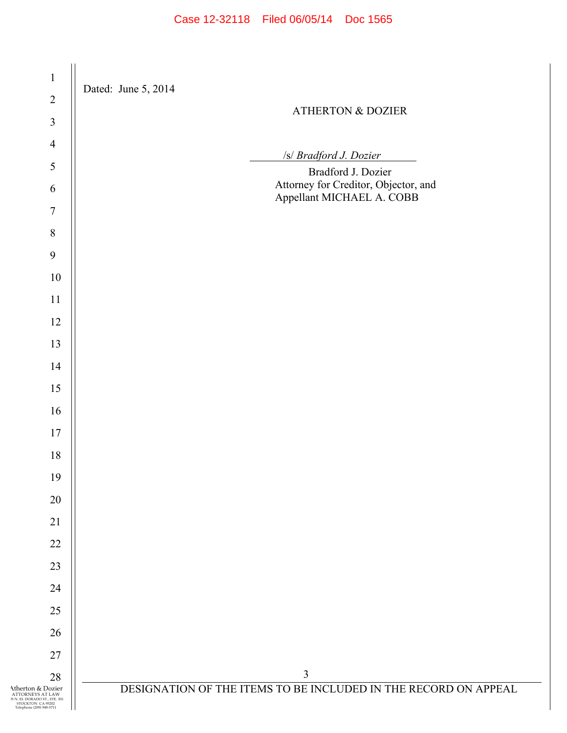| $\mathbf{1}$                                                                                                            | Dated: June 5, 2014                                               |
|-------------------------------------------------------------------------------------------------------------------------|-------------------------------------------------------------------|
| $\sqrt{2}$                                                                                                              | <b>ATHERTON &amp; DOZIER</b>                                      |
| $\mathfrak{Z}$                                                                                                          |                                                                   |
| $\overline{4}$                                                                                                          | /s/ Bradford J. Dozier                                            |
| $\sqrt{5}$                                                                                                              | Bradford J. Dozier                                                |
| $\sqrt{6}$                                                                                                              | Attorney for Creditor, Objector, and<br>Appellant MICHAEL A. COBB |
| $\overline{7}$                                                                                                          |                                                                   |
| $\,8\,$                                                                                                                 |                                                                   |
| 9                                                                                                                       |                                                                   |
| $10\,$                                                                                                                  |                                                                   |
| $11\,$                                                                                                                  |                                                                   |
| 12                                                                                                                      |                                                                   |
| 13                                                                                                                      |                                                                   |
| 14                                                                                                                      |                                                                   |
| 15                                                                                                                      |                                                                   |
| 16                                                                                                                      |                                                                   |
| $17$                                                                                                                    |                                                                   |
| 18                                                                                                                      |                                                                   |
| 19                                                                                                                      |                                                                   |
| 20                                                                                                                      |                                                                   |
| 21                                                                                                                      |                                                                   |
| 22                                                                                                                      |                                                                   |
| 23                                                                                                                      |                                                                   |
| 24                                                                                                                      |                                                                   |
| 25                                                                                                                      |                                                                   |
| 26                                                                                                                      |                                                                   |
| 27                                                                                                                      |                                                                   |
| 28                                                                                                                      | 3                                                                 |
| Atherton & Dozier<br>ATTORNEYS AT LAW<br>15 N. EL DORADO ST., STE. 301<br>STOCKTON CA 95202<br>Telephone (209) 948-5711 | DESIGNATION OF THE ITEMS TO BE INCLUDED IN THE RECORD ON APPEAL   |